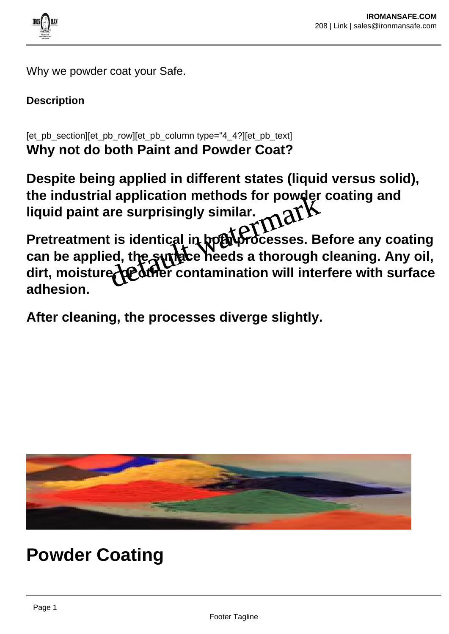

Why we powder coat your Safe.

# **Description**

[et\_pb\_section][et\_pb\_row][et\_pb\_column type="4\_4?][et\_pb\_text] **Why not do both Paint and Powder Coat?**

**Despite being applied in different states (liquid versus solid), the industrial application methods for powder coating and liquid paint are surprisingly similar.**

Pretreatment is identical in both brocesses. Before any coating **can be applied, the surface needs a thorough cleaning. Any oil,** dirt, moisture bediner contamination will interfere with surface **adhesion.** application methods for powder<br>ire surprisingly similar.<br>t is identical in hoth processes. B<br>ed, the suridice heeds a thorough<br>education will inte

**After cleaning, the processes diverge slightly.**



**Powder Coating**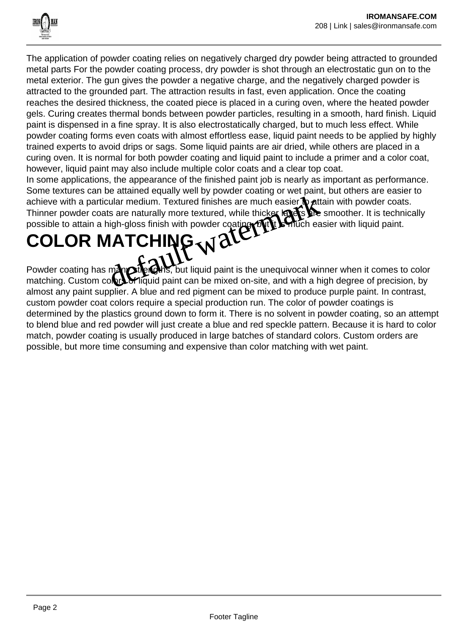

The application of powder coating relies on negatively charged dry powder being attracted to grounded metal parts For the powder coating process, dry powder is shot through an electrostatic gun on to the metal exterior. The gun gives the powder a negative charge, and the negatively charged powder is attracted to the grounded part. The attraction results in fast, even application. Once the coating reaches the desired thickness, the coated piece is placed in a curing oven, where the heated powder gels. Curing creates thermal bonds between powder particles, resulting in a smooth, hard finish. Liquid paint is dispensed in a fine spray. It is also electrostatically charged, but to much less effect. While powder coating forms even coats with almost effortless ease, liquid paint needs to be applied by highly trained experts to avoid drips or sags. Some liquid paints are air dried, while others are placed in a curing oven. It is normal for both powder coating and liquid paint to include a primer and a color coat, however, liquid paint may also include multiple color coats and a clear top coat.

In some applications, the appearance of the finished paint job is nearly as important as performance. Some textures can be attained equally well by powder coating or wet paint, but others are easier to achieve with a particular medium. Textured finishes are much easier  $\phi$  attain with powder coats. Thinner powder coats are naturally more textured, while thicker layers the smoother. It is technically possible to attain a high-gloss finish with powder coating of the sentich easier with liquid paint. We are naturally more textured finishes are much easier to att<br>the same naturally more textured, while thicker layers are<br>high-gloss finish with powder coating of the smuch easier<br> $\mathbf{ATCHING} \times \mathbf{CCT}$ <br>many sterious, but li

# **COLOR MATCHING**

Powder coating has many strengths, but liquid paint is the unequivocal winner when it comes to color matching. Custom colory of liquid paint can be mixed on-site, and with a high degree of precision, by almost any paint supplier. A blue and red pigment can be mixed to produce purple paint. In contrast, custom powder coat colors require a special production run. The color of powder coatings is determined by the plastics ground down to form it. There is no solvent in powder coating, so an attempt to blend blue and red powder will just create a blue and red speckle pattern. Because it is hard to color match, powder coating is usually produced in large batches of standard colors. Custom orders are possible, but more time consuming and expensive than color matching with wet paint.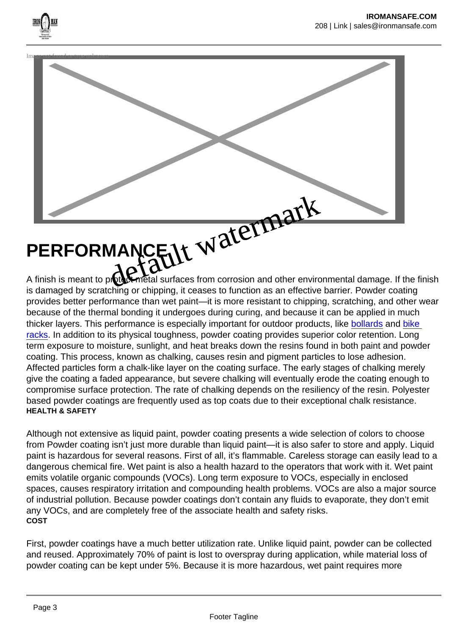

is damaged by scratching or chipping, it ceases to function as an effective barrier. Powder coating provides better performance than wet paint—it is more resistant to chipping, scratching, and other wear because of the thermal bonding it undergoes during curing, and because it can be applied in much thicker layers. This performance is especially important for outdoor products, like [bollards](https://www.reliance-foundry.com/bollard) and [bike](https://www.reliance-foundry.com/bike-parking/bike-racks)  [racks.](https://www.reliance-foundry.com/bike-parking/bike-racks) In addition to its physical toughness, powder coating provides superior color retention. Long term exposure to moisture, sunlight, and heat breaks down the resins found in both paint and powder coating. This process, known as chalking, causes resin and pigment particles to lose adhesion. Affected particles form a chalk-like layer on the coating surface. The early stages of chalking merely give the coating a faded appearance, but severe chalking will eventually erode the coating enough to compromise surface protection. The rate of chalking depends on the resiliency of the resin. Polyester based powder coatings are frequently used as top coats due to their exceptional chalk resistance. HEALTH & SAFETY

Although not extensive as liquid paint, powder coating presents a wide selection of colors to choose from Powder coating isn't just more durable than liquid paint—it is also safer to store and apply. Liquid paint is hazardous for several reasons. First of all, it's flammable. Careless storage can easily lead to a dangerous chemical fire. Wet paint is also a health hazard to the operators that work with it. Wet paint emits volatile organic compounds (VOCs). Long term exposure to VOCs, especially in enclosed spaces, causes respiratory irritation and compounding health problems. VOCs are also a major source of industrial pollution. Because powder coatings don't contain any fluids to evaporate, they don't emit any VOCs, and are completely free of the associate health and safety risks. COST

First, powder coatings have a much better utilization rate. Unlike liquid paint, powder can be collected and reused. Approximately 70% of paint is lost to overspray during application, while material loss of powder coating can be kept under 5%. Because it is more hazardous, wet paint requires more